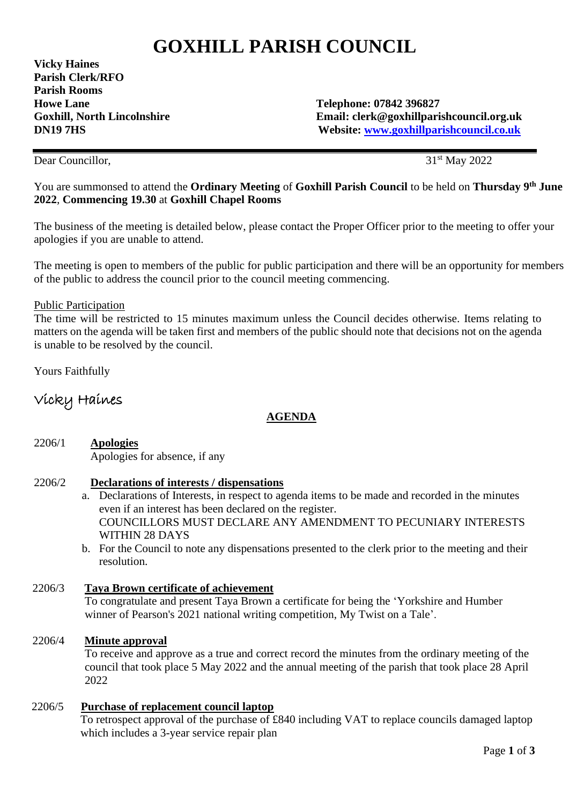# **GOXHILL PARISH COUNCIL**

**Vicky Haines Parish Clerk/RFO Parish Rooms Howe Lane 7842 396827**<br> **Goxhill, North Lincolnshire** Telephone: 07842 396827<br> **Email: clerk@goxhillnari** 

Email: clerk@goxhillparishcouncil.org.uk **DN19 7HS Website: [www.goxhillparishcouncil.co.uk](http://www.goxhillparishcouncil.co.uk/)**

Dear Councillor.

31<sup>st</sup> May 2022

You are summonsed to attend the **Ordinary Meeting** of **Goxhill Parish Council** to be held on **Thursday 9 th June 2022**, **Commencing 19.30** at **Goxhill Chapel Rooms** 

The business of the meeting is detailed below, please contact the Proper Officer prior to the meeting to offer your apologies if you are unable to attend.

The meeting is open to members of the public for public participation and there will be an opportunity for members of the public to address the council prior to the council meeting commencing.

#### Public Participation

The time will be restricted to 15 minutes maximum unless the Council decides otherwise. Items relating to matters on the agenda will be taken first and members of the public should note that decisions not on the agenda is unable to be resolved by the council.

Yours Faithfully

# Vicky Haines

# **AGENDA**

2206/1 **Apologies** Apologies for absence, if any

#### 2206/2 **Declarations of interests / dispensations**

- a. Declarations of Interests, in respect to agenda items to be made and recorded in the minutes even if an interest has been declared on the register. COUNCILLORS MUST DECLARE ANY AMENDMENT TO PECUNIARY INTERESTS WITHIN 28 DAYS
- b. For the Council to note any dispensations presented to the clerk prior to the meeting and their resolution.

#### 2206/3 **Taya Brown certificate of achievement**

 To congratulate and present Taya Brown a certificate for being the 'Yorkshire and Humber winner of Pearson's 2021 national writing competition, My Twist on a Tale'.

#### 2206/4 **Minute approval**

 To receive and approve as a true and correct record the minutes from the ordinary meeting of the council that took place 5 May 2022 and the annual meeting of the parish that took place 28 April 2022

#### 2206/5 **Purchase of replacement council laptop**

 To retrospect approval of the purchase of £840 including VAT to replace councils damaged laptop which includes a 3-year service repair plan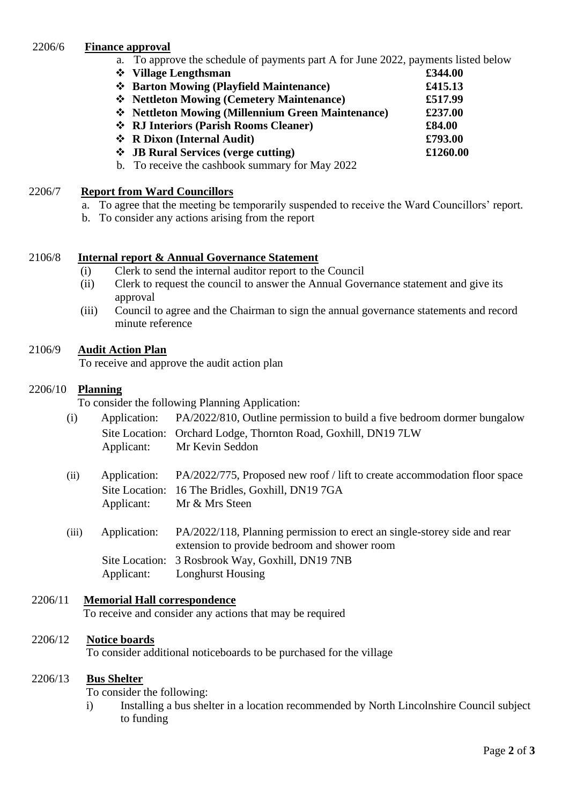#### 2206/6 **Finance approval**

- a. To approve the schedule of payments part A for June 2022, payments listed below
- ❖ **Village Lengthsman £344.00**
- ❖ **Barton Mowing (Playfield Maintenance) £415.13**
- ❖ **Nettleton Mowing (Cemetery Maintenance) £517.99**
- ❖ **Nettleton Mowing (Millennium Green Maintenance) £237.00**
- ❖ **RJ Interiors (Parish Rooms Cleaner) £84.00**
- ❖ **R Dixon (Internal Audit) £793.00**
- ❖ **JB Rural Services (verge cutting) £1260.00**
- b. To receive the cashbook summary for May 2022

#### 2206/7 **Report from Ward Councillors**

- a. To agree that the meeting be temporarily suspended to receive the Ward Councillors' report.
- b. To consider any actions arising from the report

# 2106/8 **Internal report & Annual Governance Statement**

- (i) Clerk to send the internal auditor report to the Council
- (ii) Clerk to request the council to answer the Annual Governance statement and give its approval
- (iii) Council to agree and the Chairman to sign the annual governance statements and record minute reference

# 2106/9 **Audit Action Plan**

To receive and approve the audit action plan

# 2206/10 **Planning**

To consider the following Planning Application:

- (i) Application: PA/2022/810, Outline permission to build a five bedroom dormer bungalow Site Location: Orchard Lodge, Thornton Road, Goxhill, DN19 7LW Applicant: Mr Kevin Seddon
- (ii) Application: PA/2022/775, Proposed new roof / lift to create accommodation floor space Site Location: 16 The Bridles, Goxhill, DN19 7GA Applicant: Mr & Mrs Steen
- (iii) Application: PA/2022/118, Planning permission to erect an single-storey side and rear extension to provide bedroom and shower room Site Location: 3 Rosbrook Way, Goxhill, DN19 7NB Applicant: Longhurst Housing

# 2206/11 **Memorial Hall correspondence**

To receive and consider any actions that may be required

# 2206/12 **Notice boards**

To consider additional noticeboards to be purchased for the village

#### 2206/13 **Bus Shelter**

To consider the following:

i) Installing a bus shelter in a location recommended by North Lincolnshire Council subject to funding